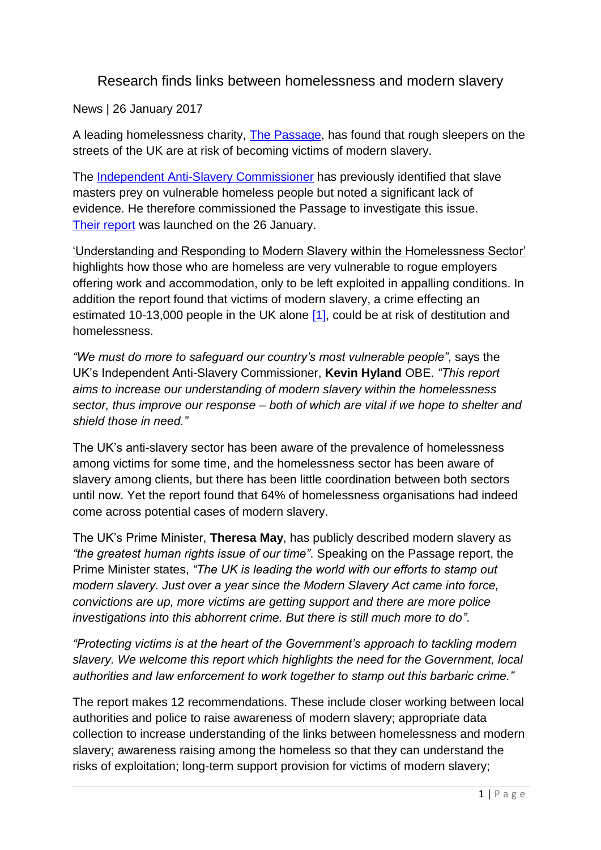## Research finds links between homelessness and modern slavery

News | 26 January 2017

A leading homelessness charity, [The Passage,](http://passage.org.uk/) has found that rough sleepers on the streets of the UK are at risk of becoming victims of modern slavery.

The [Independent Anti-Slavery Commissioner](http://www.antislaverycommissioner.co.uk/) has previously identified that slave masters prey on vulnerable homeless people but noted a significant lack of evidence. He therefore commissioned the Passage to investigate this issue. [Their report](http://www.antislaverycommissioner.co.uk/media/1115/understanding-and-responding-to-modern-slavery-within-the-homelessness-sector.pdf) was launched on the 26 January.

'Understanding and Responding to Modern Slavery within the Homelessness Sector' highlights how those who are homeless are very vulnerable to rogue employers offering work and accommodation, only to be left exploited in appalling conditions. In addition the report found that victims of modern slavery, a crime effecting an estimated 10-13,000 people in the UK alone [\[1\],](http://www.antislaverycommissioner.co.uk/news-insights/research-finds-links-between-homelessness-and-modern-slavery/#_ftn1) could be at risk of destitution and homelessness.

*"We must do more to safeguard our country's most vulnerable people"*, says the UK's Independent Anti-Slavery Commissioner, **Kevin Hyland** OBE. *"This report aims to increase our understanding of modern slavery within the homelessness sector, thus improve our response – both of which are vital if we hope to shelter and shield those in need."*

The UK's anti-slavery sector has been aware of the prevalence of homelessness among victims for some time, and the homelessness sector has been aware of slavery among clients, but there has been little coordination between both sectors until now. Yet the report found that 64% of homelessness organisations had indeed come across potential cases of modern slavery.

The UK's Prime Minister, **Theresa May**, has publicly described modern slavery as *"the greatest human rights issue of our time"*. Speaking on the Passage report, the Prime Minister states, *"The UK is leading the world with our efforts to stamp out modern slavery. Just over a year since the Modern Slavery Act came into force, convictions are up, more victims are getting support and there are more police investigations into this abhorrent crime. But there is still much more to do"*.

*"Protecting victims is at the heart of the Government's approach to tackling modern slavery. We welcome this report which highlights the need for the Government, local authorities and law enforcement to work together to stamp out this barbaric crime."*

The report makes 12 recommendations. These include closer working between local authorities and police to raise awareness of modern slavery; appropriate data collection to increase understanding of the links between homelessness and modern slavery; awareness raising among the homeless so that they can understand the risks of exploitation; long-term support provision for victims of modern slavery;